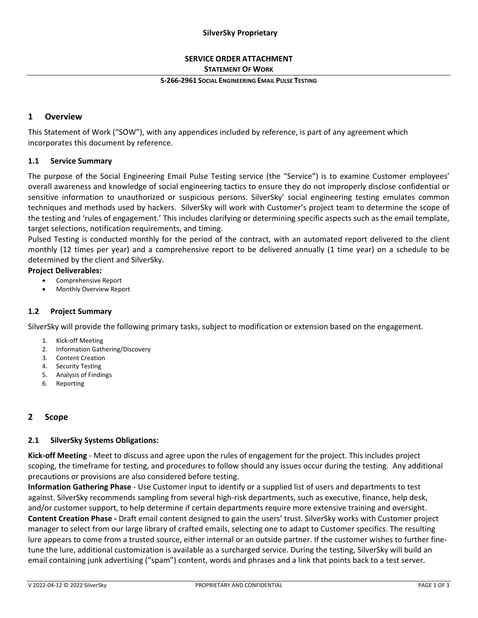## **SilverSky Proprietary**

## **SERVICE ORDER ATTACHMENT STATEMENT OF WORK**

#### **S-266-2961 SOCIAL ENGINEERING EMAIL PULSE TESTING**

## **1 Overview**

This Statement of Work ("SOW"), with any appendices included by reference, is part of any agreement which incorporates this document by reference.

## **1.1 Service Summary**

The purpose of the Social Engineering Email Pulse Testing service (the "Service") is to examine Customer employees' overall awareness and knowledge of social engineering tactics to ensure they do not improperly disclose confidential or sensitive information to unauthorized or suspicious persons. SilverSky' social engineering testing emulates common techniques and methods used by hackers. SilverSky will work with Customer's project team to determine the scope of the testing and 'rules of engagement.' This includes clarifying or determining specific aspects such as the email template, target selections, notification requirements, and timing.

Pulsed Testing is conducted monthly for the period of the contract, with an automated report delivered to the client monthly (12 times per year) and a comprehensive report to be delivered annually (1 time year) on a schedule to be determined by the client and SilverSky.

#### **Project Deliverables:**

- Comprehensive Report
- Monthly Overview Report

## **1.2 Project Summary**

SilverSky will provide the following primary tasks, subject to modification or extension based on the engagement.

- 1. Kick-off Meeting
- 2. Information Gathering/Discovery
- 3. Content Creation
- 4. Security Testing
- 5. Analysis of Findings
- 6. Reporting

# **2 Scope**

## **2.1 SilverSky Systems Obligations:**

**Kick-off Meeting** - Meet to discuss and agree upon the rules of engagement for the project. This includes project scoping, the timeframe for testing, and procedures to follow should any issues occur during the testing. Any additional precautions or provisions are also considered before testing.

**Information Gathering Phase** - Use Customer input to identify or a supplied list of users and departments to test against. SilverSky recommends sampling from several high-risk departments, such as executive, finance, help desk, and/or customer support, to help determine if certain departments require more extensive training and oversight. **Content Creation Phase -** Draft email content designed to gain the users' trust. SilverSky works with Customer project manager to select from our large library of crafted emails, selecting one to adapt to Customer specifics. The resulting lure appears to come from a trusted source, either internal or an outside partner. If the customer wishes to further finetune the lure, additional customization is available as a surcharged service. During the testing, SilverSky will build an email containing junk advertising ("spam") content, words and phrases and a link that points back to a test server.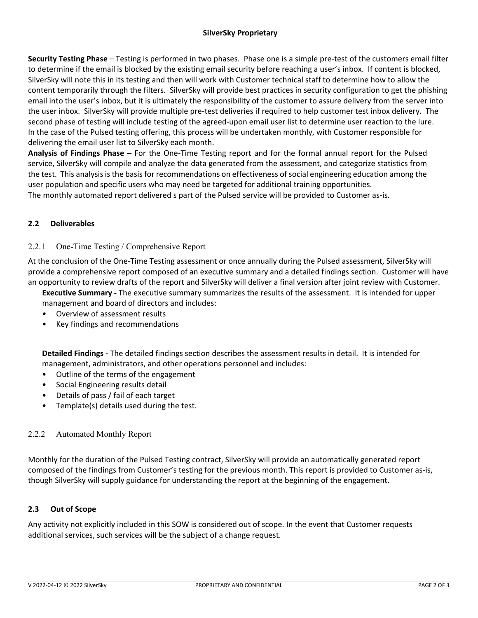## **SilverSky Proprietary**

**Security Testing Phase** – Testing is performed in two phases. Phase one is a simple pre-test of the customers email filter to determine if the email is blocked by the existing email security before reaching a user's inbox. If content is blocked, SilverSky will note this in its testing and then will work with Customer technical staff to determine how to allow the content temporarily through the filters. SilverSky will provide best practices in security configuration to get the phishing email into the user's inbox, but it is ultimately the responsibility of the customer to assure delivery from the server into the user inbox. SilverSky will provide multiple pre-test deliveries if required to help customer test inbox delivery. The second phase of testing will include testing of the agreed-upon email user list to determine user reaction to the lure. In the case of the Pulsed testing offering, this process will be undertaken monthly, with Customer responsible for delivering the email user list to SilverSky each month.

**Analysis of Findings Phase** – For the One-Time Testing report and for the formal annual report for the Pulsed service, SilverSky will compile and analyze the data generated from the assessment, and categorize statistics from the test. This analysis is the basis for recommendations on effectiveness of social engineering education among the user population and specific users who may need be targeted for additional training opportunities. The monthly automated report delivered s part of the Pulsed service will be provided to Customer as-is.

# **2.2 Deliverables**

## 2.2.1 One-Time Testing / Comprehensive Report

At the conclusion of the One-Time Testing assessment or once annually during the Pulsed assessment, SilverSky will provide a comprehensive report composed of an executive summary and a detailed findings section. Customer will have an opportunity to review drafts of the report and SilverSky will deliver a final version after joint review with Customer.

**Executive Summary -** The executive summary summarizes the results of the assessment. It is intended for upper management and board of directors and includes:

- Overview of assessment results
- Key findings and recommendations

**Detailed Findings -** The detailed findings section describes the assessment results in detail. It is intended for management, administrators, and other operations personnel and includes:

- Outline of the terms of the engagement
- Social Engineering results detail
- Details of pass / fail of each target
- Template(s) details used during the test.

## 2.2.2 Automated Monthly Report

Monthly for the duration of the Pulsed Testing contract, SilverSky will provide an automatically generated report composed of the findings from Customer's testing for the previous month. This report is provided to Customer as-is, though SilverSky will supply guidance for understanding the report at the beginning of the engagement.

## **2.3 Out of Scope**

Any activity not explicitly included in this SOW is considered out of scope. In the event that Customer requests additional services, such services will be the subject of a change request.